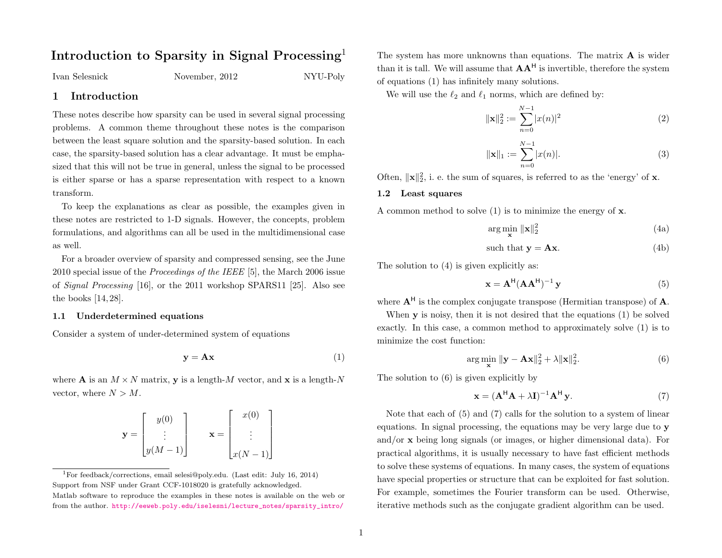# Introduction to Sparsity in Signal Processing<sup>[1](#page-0-0)</sup>

Ivan Selesnick November, 2012 NYU-Poly

1 Introduction

These notes describe how sparsity can be used in several signal processing problems. A common theme throughout these notes is the comparison between the least square solution and the sparsity-based solution. In each case, the sparsity-based solution has a clear advantage. It must be emphasized that this will not be true in general, unless the signal to be processed is either sparse or has a sparse representation with respect to a known transform.

To keep the explanations as clear as possible, the examples given in these notes are restricted to 1-D signals. However, the concepts, problem formulations, and algorithms can all be used in the multidimensional case as well.

For a broader overview of sparsity and compressed sensing, see the June 2010 special issue of the Proceedings of the IEEE [\[5\]](#page-16-0), the March 2006 issue of Signal Processing [\[16\]](#page-17-0), or the 2011 workshop SPARS11 [\[25\]](#page-17-1). Also see the books [\[14,](#page-17-2) [28\]](#page-17-3).

## 1.1 Underdetermined equations

Consider a system of under-determined system of equations

$$
y = Ax \tag{1}
$$

where **A** is an  $M \times N$  matrix, **v** is a length-M vector, and **x** is a length-N vector, where  $N > M$ .

| y(0)       |                | x(0)                    |
|------------|----------------|-------------------------|
|            | $\mathbf{x} =$ |                         |
| $ y(M-1) $ |                | $\lfloor x(N-1)\rfloor$ |

<span id="page-0-0"></span><sup>1</sup>For feedback/corrections, email selesi@poly.edu. (Last edit: July 16, 2014) Support from NSF under Grant CCF-1018020 is gratefully acknowledged. Matlab software to reproduce the examples in these notes is available on the web or from the author. [http://eeweb.poly.edu/iselesni/lecture\\_notes/sparsity\\_intro/](http://eeweb.poly.edu/iselesni/lecture_notes/sparsity_intro/)

The system has more unknowns than equations. The matrix  $\bf{A}$  is wider than it is tall. We will assume that  $AA<sup>H</sup>$  is invertible, therefore the system of equations [\(1\)](#page-0-1) has infinitely many solutions.

<span id="page-0-6"></span>We will use the  $\ell_2$  and  $\ell_1$  norms, which are defined by:

$$
\|\mathbf{x}\|_2^2 := \sum_{n=0}^{N-1} |x(n)|^2
$$
 (2)

$$
\|\mathbf{x}\|_{1} := \sum_{n=0}^{N-1} |x(n)|.
$$
 (3)

Often,  $\|\mathbf{x}\|_2^2$ , i. e. the sum of squares, is referred to as the 'energy' of **x**.

#### <span id="page-0-7"></span>1.2 Least squares

A common method to solve  $(1)$  is to minimize the energy of **x**.

<span id="page-0-2"></span>
$$
\arg\min_{\mathbf{x}} \|\mathbf{x}\|_2^2 \tag{4a}
$$

<span id="page-0-4"></span>such that 
$$
y = Ax
$$
. (4b)

The solution to  $(4)$  is given explicitly as:

$$
\mathbf{x} = \mathbf{A}^{\mathsf{H}} (\mathbf{A} \mathbf{A}^{\mathsf{H}})^{-1} \mathbf{y}
$$
 (5)

where  $A^H$  is the complex conjugate transpose (Hermitian transpose) of A.

<span id="page-0-1"></span>When **y** is noisy, then it is not desired that the equations [\(1\)](#page-0-1) be solved exactly. In this case, a common method to approximately solve [\(1\)](#page-0-1) is to minimize the cost function:

<span id="page-0-3"></span>
$$
\arg\min_{\mathbf{x}} \|\mathbf{y} - \mathbf{A}\mathbf{x}\|_2^2 + \lambda \|\mathbf{x}\|_2^2.
$$
 (6)

The solution to [\(6\)](#page-0-3) is given explicitly by

<span id="page-0-5"></span>
$$
\mathbf{x} = (\mathbf{A}^{\mathsf{H}} \mathbf{A} + \lambda \mathbf{I})^{-1} \mathbf{A}^{\mathsf{H}} \mathbf{y}.
$$
 (7)

Note that each of [\(5\)](#page-0-4) and [\(7\)](#page-0-5) calls for the solution to a system of linear equations. In signal processing, the equations may be very large due to y and/or x being long signals (or images, or higher dimensional data). For practical algorithms, it is usually necessary to have fast efficient methods to solve these systems of equations. In many cases, the system of equations have special properties or structure that can be exploited for fast solution. For example, sometimes the Fourier transform can be used. Otherwise, iterative methods such as the conjugate gradient algorithm can be used.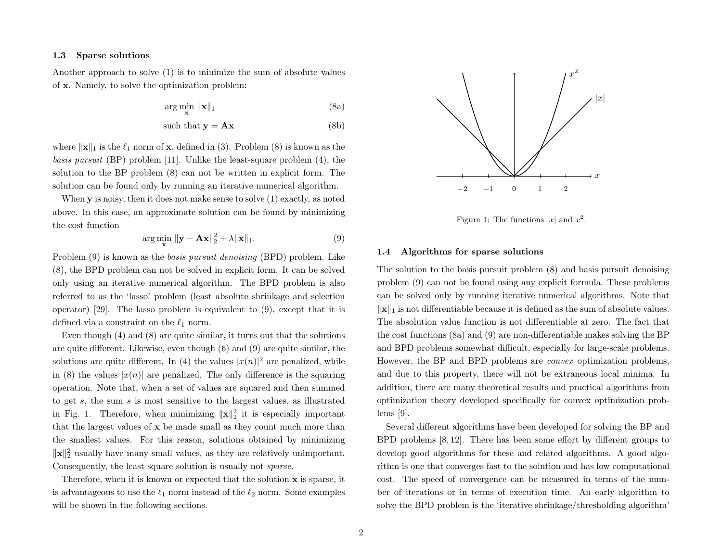#### 1.3 Sparse solutions

Another approach to solve [\(1\)](#page-0-1) is to minimize the sum of absolute values of x. Namely, to solve the optimization problem:

<span id="page-1-0"></span>
$$
\arg\min_{\mathbf{x}} \|\mathbf{x}\|_1 \tag{8a}
$$

$$
such that y = Ax
$$
 (8b)

where  $\|\mathbf{x}\|_1$  is the  $\ell_1$  norm of **x**, defined in [\(3\)](#page-0-6). Problem [\(8\)](#page-1-0) is known as the basis pursuit (BP) problem [\[11\]](#page-16-1). Unlike the least-square problem [\(4\)](#page-0-2), the solution to the BP problem [\(8\)](#page-1-0) can not be written in explicit form. The solution can be found only by running an iterative numerical algorithm.

When y is noisy, then it does not make sense to solve [\(1\)](#page-0-1) exactly, as noted above. In this case, an approximate solution can be found by minimizing the cost function

<span id="page-1-1"></span>
$$
\arg\min_{\mathbf{x}} \|\mathbf{y} - \mathbf{A}\mathbf{x}\|_2^2 + \lambda \|\mathbf{x}\|_1.
$$
 (9)

Problem [\(9\)](#page-1-1) is known as the *basis pursuit denoising* (BPD) problem. Like [\(8\)](#page-1-0), the BPD problem can not be solved in explicit form. It can be solved only using an iterative numerical algorithm. The BPD problem is also referred to as the 'lasso' problem (least absolute shrinkage and selection operator) [\[29\]](#page-17-4). The lasso problem is equivalent to [\(9\)](#page-1-1), except that it is defined via a constraint on the  $\ell_1$  norm.

Even though [\(4\)](#page-0-2) and [\(8\)](#page-1-0) are quite similar, it turns out that the solutions are quite different. Likewise, even though [\(6\)](#page-0-3) and [\(9\)](#page-1-1) are quite similar, the solutions are quite different. In [\(4\)](#page-0-2) the values  $|x(n)|^2$  are penalized, while in [\(8\)](#page-1-0) the values  $|x(n)|$  are penalized. The only difference is the squaring operation. Note that, when a set of values are squared and then summed to get  $s$ , the sum  $s$  is most sensitive to the largest values, as illustrated in Fig. [1.](#page-1-2) Therefore, when minimizing  $\|\mathbf{x}\|_2^2$  it is especially important that the largest values of x be made small as they count much more than the smallest values. For this reason, solutions obtained by minimizing  $\|\mathbf{x}\|_2^2$  usually have many small values, as they are relatively unimportant. Consequently, the least square solution is usually not sparse.

Therefore, when it is known or expected that the solution x is sparse, it is advantageous to use the  $\ell_1$  norm instead of the  $\ell_2$  norm. Some examples will be shown in the following sections.

<span id="page-1-2"></span>

Figure 1: The functions  $|x|$  and  $x^2$ .

## 1.4 Algorithms for sparse solutions

and due to this property, there will not be extraneous local minima. In problem [\(9\)](#page-1-1) can not be found using any explicit formula. These problems  $\|\mathbf{x}\|_1$  is not differentiable because it is defined as the sum of absolute values.<br>The absolution value function is not differentiable at some. The fact that can be solved only by running iterative numerical algorithms. Note that addition, there are many theoretical results and practical algorithms from The solution to the basis pursuit problem [\(8\)](#page-1-0) and basis pursuit denoising The absolution value function is not differentiable at zero. The fact that the cost functions [\(8a\)](#page-0-1) and [\(9\)](#page-1-1) are non-differentiable makes solving the BP and BPD problems somewhat difficult, especially for large-scale problems. However, the BP and BPD problems are convex optimization problems, optimization theory developed specifically for convex optimization problems [\[9\]](#page-16-2).

cost. The speed of convergence can be measured in terms of the number of iterations or in terms of execution time. An early algorithm to Several different algorithms have been developed for solving the BP and BPD problems [\[8,](#page-16-3) [12\]](#page-16-4). There has been some effort by different groups to develop good algorithms for these and related algorithms. A good algorithm is one that converges fast to the solution and has low computational solve the BPD problem is the 'iterative shrinkage/thresholding algorithm'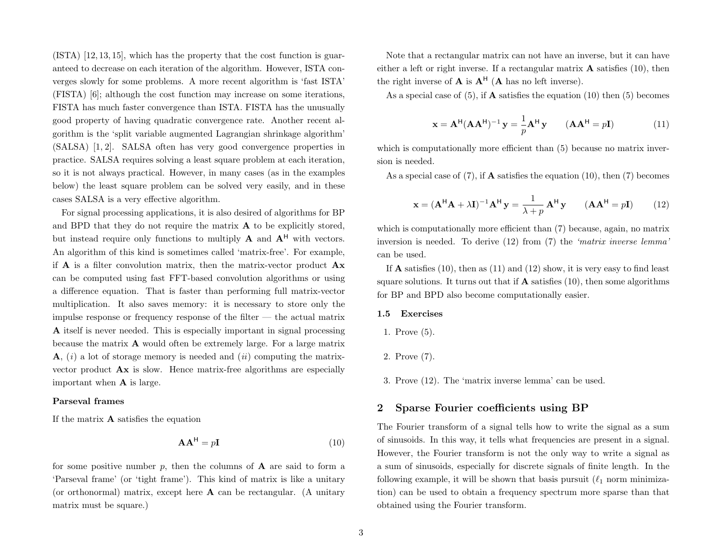(ISTA) [\[12,](#page-16-4) [13,](#page-17-5) [15\]](#page-17-6), which has the property that the cost function is guaranteed to decrease on each iteration of the algorithm. However, ISTA converges slowly for some problems. A more recent algorithm is 'fast ISTA' (FISTA) [\[6\]](#page-16-5); although the cost function may increase on some iterations, FISTA has much faster convergence than ISTA. FISTA has the unusually good property of having quadratic convergence rate. Another recent algorithm is the 'split variable augmented Lagrangian shrinkage algorithm' (SALSA) [\[1,](#page-16-6) [2\]](#page-16-7). SALSA often has very good convergence properties in practice. SALSA requires solving a least square problem at each iteration, so it is not always practical. However, in many cases (as in the examples below) the least square problem can be solved very easily, and in these cases SALSA is a very effective algorithm.

For signal processing applications, it is also desired of algorithms for BP and BPD that they do not require the matrix A to be explicitly stored, but instead require only functions to multiply  $A$  and  $A<sup>H</sup>$  with vectors. An algorithm of this kind is sometimes called 'matrix-free'. For example, if  $\bf{A}$  is a filter convolution matrix, then the matrix-vector product  $\bf{A} \bf{x}$ can be computed using fast FFT-based convolution algorithms or using a difference equation. That is faster than performing full matrix-vector multiplication. It also saves memory: it is necessary to store only the impulse response or frequency response of the filter — the actual matrix A itself is never needed. This is especially important in signal processing because the matrix A would often be extremely large. For a large matrix  $\mathbf{A}$ , (i) a lot of storage memory is needed and (ii) computing the matrixvector product Ax is slow. Hence matrix-free algorithms are especially important when A is large.

#### Parseval frames

If the matrix A satisfies the equation

<span id="page-2-0"></span>
$$
\mathbf{A}\mathbf{A}^{\mathsf{H}} = p\mathbf{I} \tag{10}
$$

for some positive number  $p$ , then the columns of  $\bf{A}$  are said to form a 'Parseval frame' (or 'tight frame'). This kind of matrix is like a unitary (or orthonormal) matrix, except here  $A$  can be rectangular. (A unitary matrix must be square.)

Note that a rectangular matrix can not have an inverse, but it can have either a left or right inverse. If a rectangular matrix  $\bf{A}$  satisfies [\(10\)](#page-2-0), then the right inverse of  $\mathbf{A}$  is  $\mathbf{A}^{\mathsf{H}}$  ( $\mathbf{A}$  has no left inverse).

<span id="page-2-2"></span>As a special case of [\(5\)](#page-0-4), if **A** satisfies the equation [\(10\)](#page-2-0) then (5) becomes

$$
\mathbf{x} = \mathbf{A}^{\mathsf{H}} (\mathbf{A} \mathbf{A}^{\mathsf{H}})^{-1} \mathbf{y} = \frac{1}{p} \mathbf{A}^{\mathsf{H}} \mathbf{y} \qquad (\mathbf{A} \mathbf{A}^{\mathsf{H}} = p\mathbf{I}) \tag{11}
$$

which is computationally more efficient than  $(5)$  because no matrix inversion is needed.

<span id="page-2-1"></span>As a special case of  $(7)$ , if **A** satisfies the equation  $(10)$ , then  $(7)$  becomes

$$
\mathbf{x} = (\mathbf{A}^{\mathsf{H}} \mathbf{A} + \lambda \mathbf{I})^{-1} \mathbf{A}^{\mathsf{H}} \mathbf{y} = \frac{1}{\lambda + p} \mathbf{A}^{\mathsf{H}} \mathbf{y} \qquad (\mathbf{A} \mathbf{A}^{\mathsf{H}} = p\mathbf{I}) \tag{12}
$$

which is computationally more efficient than  $(7)$  because, again, no matrix inversion is needed. To derive [\(12\)](#page-2-1) from [\(7\)](#page-0-5) the 'matrix inverse lemma' can be used.

If  $\bf{A}$  satisfies [\(10\)](#page-2-0), then as [\(11\)](#page-2-2) and [\(12\)](#page-2-1) show, it is very easy to find least square solutions. It turns out that if  $A$  satisfies [\(10\)](#page-2-0), then some algorithms for BP and BPD also become computationally easier.

## 1.5 Exercises

1. Prove [\(5\)](#page-0-4).

- 2. Prove [\(7\)](#page-0-5).
- 3. Prove [\(12\)](#page-2-1). The 'matrix inverse lemma' can be used.

# <span id="page-2-3"></span>2 Sparse Fourier coefficients using BP

The Fourier transform of a signal tells how to write the signal as a sum of sinusoids. In this way, it tells what frequencies are present in a signal. However, the Fourier transform is not the only way to write a signal as a sum of sinusoids, especially for discrete signals of finite length. In the following example, it will be shown that basis pursuit  $(\ell_1$  norm minimization) can be used to obtain a frequency spectrum more sparse than that obtained using the Fourier transform.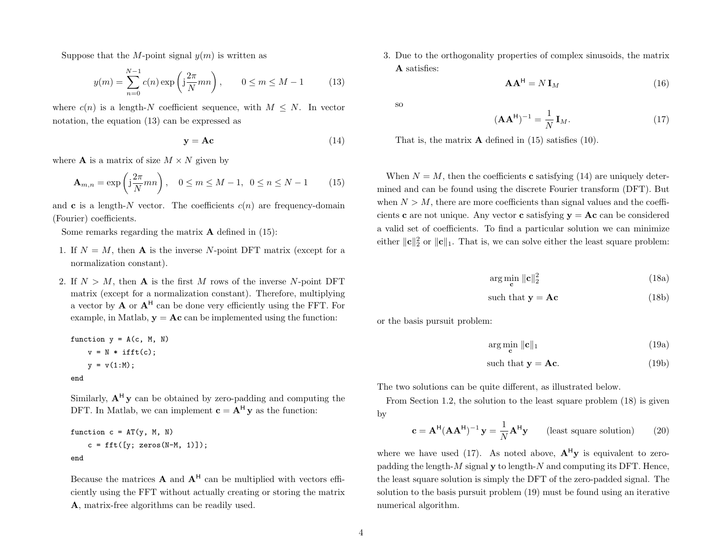Suppose that the M-point signal  $y(m)$  is written as

$$
y(m) = \sum_{n=0}^{N-1} c(n) \exp\left(j\frac{2\pi}{N}mn\right), \qquad 0 \le m \le M-1 \tag{13}
$$

where  $c(n)$  is a length-N coefficient sequence, with  $M \leq N$ . In vector notation, the equation [\(13\)](#page-3-0) can be expressed as

<span id="page-3-2"></span><span id="page-3-1"></span>
$$
y = Ac
$$
 (14)

where **A** is a matrix of size  $M \times N$  given by

$$
\mathbf{A}_{m,n} = \exp\left(\mathbf{j}\frac{2\pi}{N}mn\right), \quad 0 \le m \le M-1, \ \ 0 \le n \le N-1 \tag{15}
$$

and **c** is a length-N vector. The coefficients  $c(n)$  are frequency-domain (Fourier) coefficients.

Some remarks regarding the matrix  $\bf{A}$  defined in [\(15\)](#page-3-1):

- 1. If  $N = M$ , then **A** is the inverse N-point DFT matrix (except for a normalization constant).
- 2. If  $N > M$ , then **A** is the first M rows of the inverse N-point DFT matrix (except for a normalization constant). Therefore, multiplying a vector by  $\mathbf{A}$  or  $\mathbf{A}^{\mathsf{H}}$  can be done very efficiently using the FFT. For example, in Matlab,  $y = Ac$  can be implemented using the function:

function 
$$
y = A(c, M, N)
$$
  
\n $v = N * ifft(c);$   
\n $y = v(1:M);$ 

end

Similarly,  $A^H v$  can be obtained by zero-padding and computing the DFT. In Matlab, we can implement  $\mathbf{c} = \mathbf{A}^H \mathbf{y}$  as the function:

function 
$$
c = AT(y, M, N)
$$
  
\n $c = fft([y; zeros(N-M, 1)]);$   
\nend

Because the matrices  $A$  and  $A<sup>H</sup>$  can be multiplied with vectors efficiently using the FFT without actually creating or storing the matrix A, matrix-free algorithms can be readily used.

<span id="page-3-7"></span><span id="page-3-0"></span>3. Due to the orthogonality properties of complex sinusoids, the matrix A satisfies:

$$
\mathbf{A}\mathbf{A}^{\mathsf{H}} = N \mathbf{I}_M \tag{16}
$$

<span id="page-3-4"></span>so

$$
(\mathbf{A}\mathbf{A}^{\mathsf{H}})^{-1} = \frac{1}{N} \mathbf{I}_M. \tag{17}
$$

That is, the matrix  $\bf{A}$  defined in [\(15\)](#page-3-1) satisfies [\(10\)](#page-2-0).

<span id="page-3-3"></span>When  $N = M$ , then the coefficients **c** satisfying [\(14\)](#page-3-2) are uniquely determined and can be found using the discrete Fourier transform (DFT). But when  $N > M$ , there are more coefficients than signal values and the coefficients c are not unique. Any vector c satisfying  $y = Ac$  can be considered a valid set of coefficients. To find a particular solution we can minimize either  $\|\mathbf{c}\|_2^2$  or  $\|\mathbf{c}\|_1$ . That is, we can solve either the least square problem:

$$
\arg\min_{\mathbf{c}} \|\mathbf{c}\|_2^2 \tag{18a}
$$

<span id="page-3-5"></span>such that 
$$
y = Ac
$$
 (18b)

or the basis pursuit problem:

$$
\arg\min_{\mathbf{c}} \|\mathbf{c}\|_1 \tag{19a}
$$

such that 
$$
y = Ac.
$$
 (19b)

The two solutions can be quite different, as illustrated below.

<span id="page-3-6"></span>From Section [1.2,](#page-0-7) the solution to the least square problem [\(18\)](#page-3-3) is given by

$$
\mathbf{c} = \mathbf{A}^{\mathsf{H}} (\mathbf{A} \mathbf{A}^{\mathsf{H}})^{-1} \mathbf{y} = \frac{1}{N} \mathbf{A}^{\mathsf{H}} \mathbf{y} \qquad \text{(least square solution)} \tag{20}
$$

where we have used [\(17\)](#page-3-4). As noted above,  $A^{H}y$  is equivalent to zeropadding the length- $M$  signal  $y$  to length- $N$  and computing its DFT. Hence, the least square solution is simply the DFT of the zero-padded signal. The solution to the basis pursuit problem [\(19\)](#page-3-5) must be found using an iterative numerical algorithm.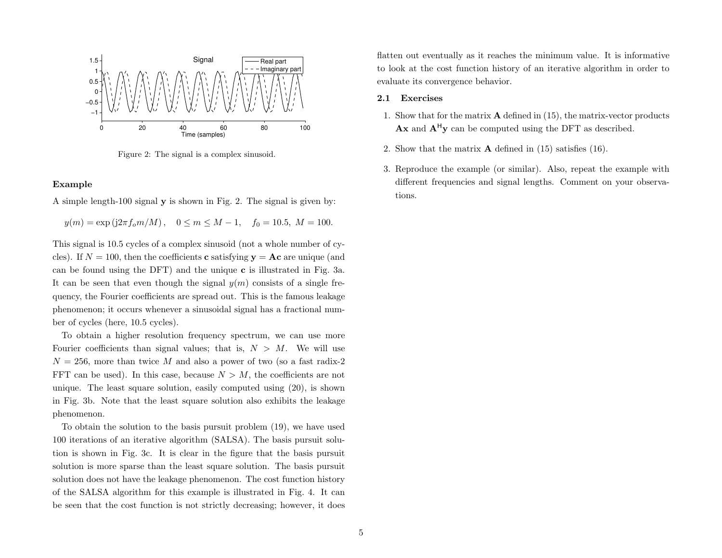<span id="page-4-0"></span>

Figure 2: The signal is a complex sinusoid.

## Example

A simple length-100 signal y is shown in Fig. [2.](#page-4-0) The signal is given by:

$$
y(m) = \exp(j2\pi f_o m/M), \quad 0 \le m \le M - 1, \quad f_0 = 10.5, M = 100.
$$

This signal is 10.5 cycles of a complex sinusoid (not a whole number of cycles). If  $N = 100$ , then the coefficients **c** satisfying  $y = Ac$  are unique (and can be found using the DFT) and the unique c is illustrated in Fig. [3a](#page-5-0). It can be seen that even though the signal  $y(m)$  consists of a single frequency, the Fourier coefficients are spread out. This is the famous leakage phenomenon; it occurs whenever a sinusoidal signal has a fractional number of cycles (here, 10.5 cycles).

To obtain a higher resolution frequency spectrum, we can use more Fourier coefficients than signal values; that is,  $N > M$ . We will use  $N = 256$ , more than twice M and also a power of two (so a fast radix-2) FFT can be used). In this case, because  $N > M$ , the coefficients are not unique. The least square solution, easily computed using [\(20\)](#page-3-6), is shown in Fig. [3b](#page-5-0). Note that the least square solution also exhibits the leakage phenomenon.

To obtain the solution to the basis pursuit problem [\(19\)](#page-3-5), we have used 100 iterations of an iterative algorithm (SALSA). The basis pursuit solution is shown in Fig. [3c](#page-5-0). It is clear in the figure that the basis pursuit solution is more sparse than the least square solution. The basis pursuit solution does not have the leakage phenomenon. The cost function history of the SALSA algorithm for this example is illustrated in Fig. [4.](#page-5-1) It can be seen that the cost function is not strictly decreasing; however, it does flatten out eventually as it reaches the minimum value. It is informative to look at the cost function history of an iterative algorithm in order to evaluate its convergence behavior.

## 2.1 Exercises

- 1. Show that for the matrix A defined in [\(15\)](#page-3-1), the matrix-vector products  $\mathbf{A}\mathbf{x}$  and  $\mathbf{A}^{\mathsf{H}}\mathbf{y}$  can be computed using the DFT as described.
- 2. Show that the matrix A defined in [\(15\)](#page-3-1) satisfies [\(16\)](#page-3-7).
- 3. Reproduce the example (or similar). Also, repeat the example with different frequencies and signal lengths. Comment on your observations.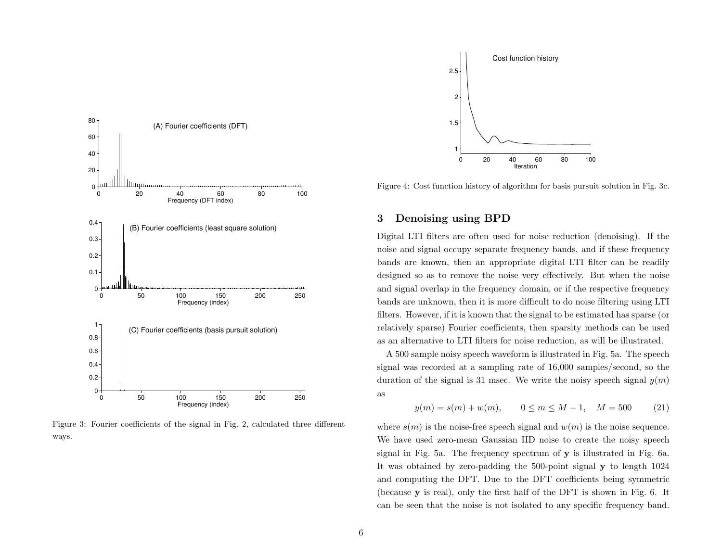<span id="page-5-0"></span>

Figure 3: Fourier coefficients of the signal in Fig. [2,](#page-4-0) calculated three different ways.

<span id="page-5-1"></span>

Figure 4: Cost function history of algorithm for basis pursuit solution in Fig. [3c](#page-5-0).

# <span id="page-5-2"></span>3 Denoising using BPD

Digital LTI filters are often used for noise reduction (denoising). If the noise and signal occupy separate frequency bands, and if these frequency bands are known, then an appropriate digital LTI filter can be readily designed so as to remove the noise very effectively. But when the noise and signal overlap in the frequency domain, or if the respective frequency bands are unknown, then it is more difficult to do noise filtering using LTI filters. However, if it is known that the signal to be estimated has sparse (or relatively sparse) Fourier coefficients, then sparsity methods can be used as an alternative to LTI filters for noise reduction, as will be illustrated.

A 500 sample noisy speech waveform is illustrated in Fig. [5a](#page-6-0). The speech signal was recorded at a sampling rate of 16,000 samples/second, so the duration of the signal is 31 msec. We write the noisy speech signal  $y(m)$ as

$$
y(m) = s(m) + w(m), \qquad 0 \le m \le M - 1, \quad M = 500 \tag{21}
$$

where  $s(m)$  is the noise-free speech signal and  $w(m)$  is the noise sequence. We have used zero-mean Gaussian IID noise to create the noisy speech signal in Fig. [5a](#page-6-0). The frequency spectrum of y is illustrated in Fig. [6a](#page-6-1). It was obtained by zero-padding the 500-point signal y to length 1024 and computing the DFT. Due to the DFT coefficients being symmetric (because y is real), only the first half of the DFT is shown in Fig. [6.](#page-6-1) It can be seen that the noise is not isolated to any specific frequency band.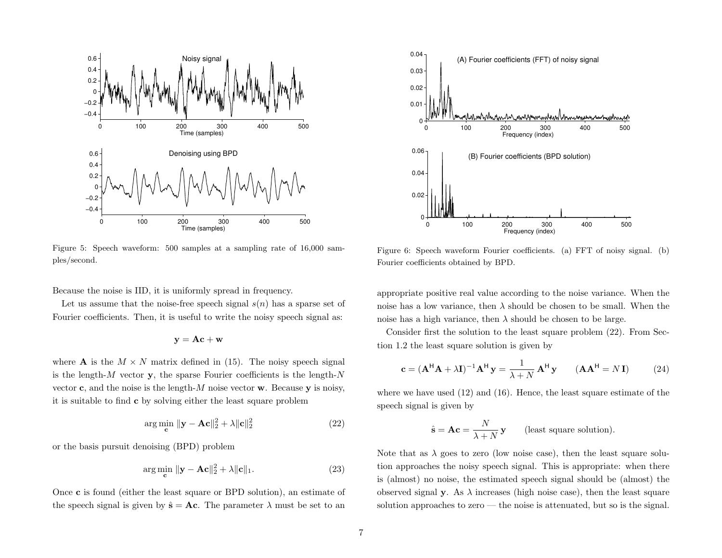<span id="page-6-0"></span>

Figure 5: Speech waveform: 500 samples at a sampling rate of 16,000 samples/second.

Because the noise is IID, it is uniformly spread in frequency.

Let us assume that the noise-free speech signal  $s(n)$  has a sparse set of Fourier coefficients. Then, it is useful to write the noisy speech signal as:

$$
\mathbf{y} = \mathbf{A}\mathbf{c} + \mathbf{w}
$$

where **A** is the  $M \times N$  matrix defined in [\(15\)](#page-3-1). The noisy speech signal is the length- $M$  vector y, the sparse Fourier coefficients is the length- $N$ vector **c**, and the noise is the length-M noise vector **w**. Because **y** is noisy, it is suitable to find c by solving either the least square problem

<span id="page-6-3"></span>
$$
\arg\min_{\mathbf{c}} \|\mathbf{y} - \mathbf{A}\mathbf{c}\|_2^2 + \lambda \|\mathbf{c}\|_2^2 \tag{22}
$$

or the basis pursuit denoising (BPD) problem

$$
\arg\min_{\mathbf{c}} \|\mathbf{y} - \mathbf{A}\mathbf{c}\|_2^2 + \lambda \|\mathbf{c}\|_1. \tag{23}
$$

Once c is found (either the least square or BPD solution), an estimate of the speech signal is given by  $\hat{\mathbf{s}} = \mathbf{A}\mathbf{c}$ . The parameter  $\lambda$  must be set to an

<span id="page-6-1"></span>

Figure 6: Speech waveform Fourier coefficients. (a) FFT of noisy signal. (b) Fourier coefficients obtained by BPD.

appropriate positive real value according to the noise variance. When the noise has a low variance, then  $\lambda$  should be chosen to be small. When the noise has a high variance, then  $\lambda$  should be chosen to be large.

Consider first the solution to the least square problem [\(22\)](#page-6-2). From Section [1.2](#page-0-7) the least square solution is given by

$$
\mathbf{c} = (\mathbf{A}^{\mathsf{H}} \mathbf{A} + \lambda \mathbf{I})^{-1} \mathbf{A}^{\mathsf{H}} \mathbf{y} = \frac{1}{\lambda + N} \mathbf{A}^{\mathsf{H}} \mathbf{y} \qquad (\mathbf{A} \mathbf{A}^{\mathsf{H}} = N \mathbf{I}) \tag{24}
$$

<span id="page-6-2"></span>where we have used [\(12\)](#page-2-1) and [\(16\)](#page-3-7). Hence, the least square estimate of the speech signal is given by

$$
\hat{\mathbf{s}} = \mathbf{A}\mathbf{c} = \frac{N}{\lambda + N} \mathbf{y} \qquad \text{(least square solution)}.
$$

Note that as  $\lambda$  goes to zero (low noise case), then the least square solution approaches the noisy speech signal. This is appropriate: when there is (almost) no noise, the estimated speech signal should be (almost) the observed signal y. As  $\lambda$  increases (high noise case), then the least square solution approaches to zero — the noise is attenuated, but so is the signal.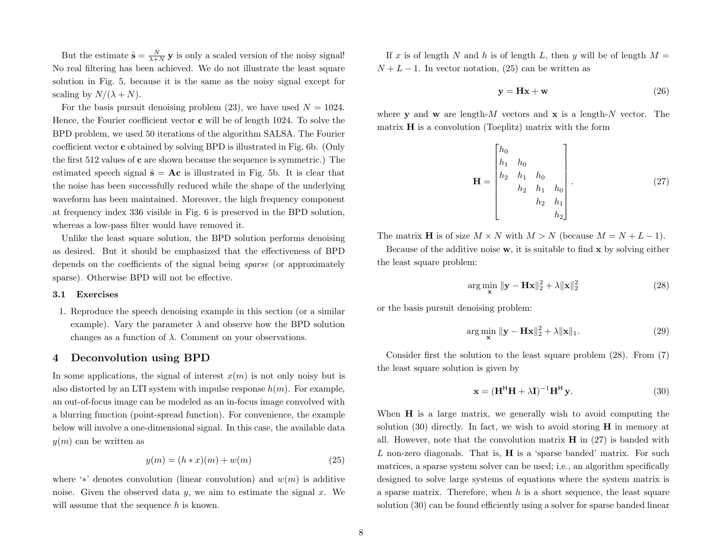But the estimate  $\hat{\mathbf{s}} = \frac{N}{\lambda + N} \mathbf{y}$  is only a scaled version of the noisy signal! No real filtering has been achieved. We do not illustrate the least square solution in Fig. [5,](#page-6-0) because it is the same as the noisy signal except for scaling by  $N/(\lambda + N)$ .

For the basis pursuit denoising problem [\(23\)](#page-6-3), we have used  $N = 1024$ . Hence, the Fourier coefficient vector c will be of length 1024. To solve the BPD problem, we used 50 iterations of the algorithm SALSA. The Fourier coefficient vector c obtained by solving BPD is illustrated in Fig. [6b](#page-6-1). (Only the first 512 values of c are shown because the sequence is symmetric.) The estimated speech signal  $\hat{\mathbf{s}} = \mathbf{A}\mathbf{c}$  is illustrated in Fig. [5b](#page-6-0). It is clear that the noise has been successfully reduced while the shape of the underlying waveform has been maintained. Moreover, the high frequency component at frequency index 336 visible in Fig. [6](#page-6-1) is preserved in the BPD solution, whereas a low-pass filter would have removed it.

Unlike the least square solution, the BPD solution performs denoising as desired. But it should be emphasized that the effectiveness of BPD depends on the coefficients of the signal being sparse (or approximately sparse). Otherwise BPD will not be effective.

#### 3.1 Exercises

1. Reproduce the speech denoising example in this section (or a similar example). Vary the parameter  $\lambda$  and observe how the BPD solution changes as a function of  $\lambda$ . Comment on your observations.

# <span id="page-7-5"></span>4 Deconvolution using BPD

In some applications, the signal of interest  $x(m)$  is not only noisy but is also distorted by an LTI system with impulse response  $h(m)$ . For example, an out-of-focus image can be modeled as an in-focus image convolved with a blurring function (point-spread function). For convenience, the example below will involve a one-dimensional signal. In this case, the available data  $y(m)$  can be written as

<span id="page-7-0"></span>
$$
y(m) = (h * x)(m) + w(m)
$$
 (25)

where '\*' denotes convolution (linear convolution) and  $w(m)$  is additive noise. Given the observed data  $y$ , we aim to estimate the signal  $x$ . We will assume that the sequence h is known.

If x is of length N and h is of length L, then y will be of length  $M =$  $N + L - 1$ . In vector notation, [\(25\)](#page-7-0) can be written as

<span id="page-7-3"></span>
$$
y = Hx + w \tag{26}
$$

where **v** and **w** are length-M vectors and **x** is a length-N vector. The matrix  $H$  is a convolution (Toeplitz) matrix with the form

$$
\mathbf{H} = \begin{bmatrix} h_0 \\ h_1 & h_0 \\ h_2 & h_1 & h_0 \\ & h_2 & h_1 & h_0 \\ & & h_2 & h_1 \\ & & & h_2 \end{bmatrix} . \tag{27}
$$

The matrix **H** is of size  $M \times N$  with  $M > N$  (because  $M = N + L - 1$ ).

Because of the additive noise  $\bf{w}$ , it is suitable to find  $\bf{x}$  by solving either the least square problem:

<span id="page-7-4"></span><span id="page-7-1"></span>
$$
\arg\min_{\mathbf{x}} \|\mathbf{y} - \mathbf{H}\mathbf{x}\|_2^2 + \lambda \|\mathbf{x}\|_2^2 \tag{28}
$$

or the basis pursuit denoising problem:

$$
\arg\min_{\mathbf{x}} \|\mathbf{y} - \mathbf{H}\mathbf{x}\|_2^2 + \lambda \|\mathbf{x}\|_1. \tag{29}
$$

Consider first the solution to the least square problem [\(28\)](#page-7-1). From [\(7\)](#page-0-5) the least square solution is given by

<span id="page-7-2"></span>
$$
\mathbf{x} = (\mathbf{H}^{\mathsf{H}} \mathbf{H} + \lambda \mathbf{I})^{-1} \mathbf{H}^{\mathsf{H}} \mathbf{y}.
$$
 (30)

When **H** is a large matrix, we generally wish to avoid computing the solution  $(30)$  directly. In fact, we wish to avoid storing **H** in memory at all. However, note that the convolution matrix  $H$  in [\(27\)](#page-7-3) is banded with  $L$  non-zero diagonals. That is,  $H$  is a 'sparse banded' matrix. For such matrices, a sparse system solver can be used; i.e., an algorithm specifically designed to solve large systems of equations where the system matrix is a sparse matrix. Therefore, when  $h$  is a short sequence, the least square solution [\(30\)](#page-7-2) can be found efficiently using a solver for sparse banded linear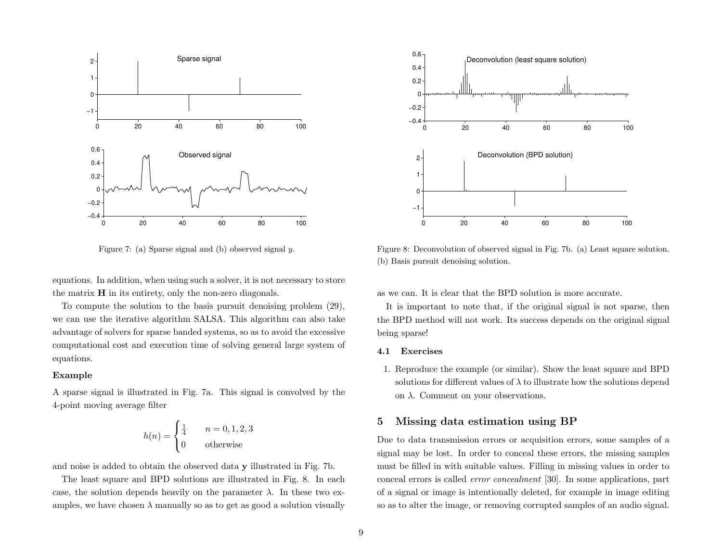<span id="page-8-0"></span>

Figure 7: (a) Sparse signal and (b) observed signal y.

equations. In addition, when using such a solver, it is not necessary to store the matrix H in its entirety, only the non-zero diagonals.

To compute the solution to the basis pursuit denoising problem [\(29\)](#page-7-4), we can use the iterative algorithm SALSA. This algorithm can also take advantage of solvers for sparse banded systems, so as to avoid the excessive computational cost and execution time of solving general large system of equations.

## Example

A sparse signal is illustrated in Fig. [7a](#page-8-0). This signal is convolved by the 4-point moving average filter

$$
h(n) = \begin{cases} \frac{1}{4} & n = 0, 1, 2, 3 \\ 0 & \text{otherwise} \end{cases}
$$

and noise is added to obtain the observed data y illustrated in Fig. [7b](#page-8-0).

The least square and BPD solutions are illustrated in Fig. [8.](#page-8-1) In each case, the solution depends heavily on the parameter  $\lambda$ . In these two examples, we have chosen  $\lambda$  manually so as to get as good a solution visually

<span id="page-8-1"></span>

Figure 8: Deconvolution of observed signal in Fig. [7b](#page-8-0). (a) Least square solution. (b) Basis pursuit denoising solution.

as we can. It is clear that the BPD solution is more accurate.

It is important to note that, if the original signal is not sparse, then the BPD method will not work. Its success depends on the original signal being sparse!

## 4.1 Exercises

1. Reproduce the example (or similar). Show the least square and BPD solutions for different values of  $\lambda$  to illustrate how the solutions depend on  $\lambda$ . Comment on your observations.

# <span id="page-8-2"></span>5 Missing data estimation using BP

Due to data transmission errors or acquisition errors, some samples of a signal may be lost. In order to conceal these errors, the missing samples must be filled in with suitable values. Filling in missing values in order to conceal errors is called error concealment [\[30\]](#page-17-7). In some applications, part of a signal or image is intentionally deleted, for example in image editing so as to alter the image, or removing corrupted samples of an audio signal.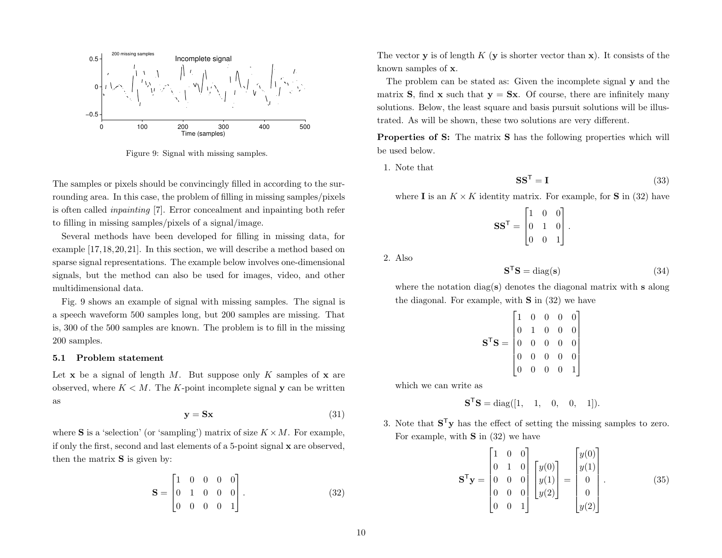<span id="page-9-0"></span>

Figure 9: Signal with missing samples.

The samples or pixels should be convincingly filled in according to the surrounding area. In this case, the problem of filling in missing samples/pixels is often called inpainting [\[7\]](#page-16-8). Error concealment and inpainting both refer to filling in missing samples/pixels of a signal/image.

Several methods have been developed for filling in missing data, for example [\[17,](#page-17-8)[18,](#page-17-9)[20,](#page-17-10)[21\]](#page-17-11). In this section, we will describe a method based on sparse signal representations. The example below involves one-dimensional signals, but the method can also be used for images, video, and other multidimensional data.

Fig. [9](#page-9-0) shows an example of signal with missing samples. The signal is a speech waveform 500 samples long, but 200 samples are missing. That is, 300 of the 500 samples are known. The problem is to fill in the missing 200 samples.

#### 5.1 Problem statement

<span id="page-9-2"></span>Let  $x$  be a signal of length M. But suppose only K samples of  $x$  are observed, where  $K < M$ . The K-point incomplete signal y can be written as

$$
y = Sx \tag{31}
$$

where **S** is a 'selection' (or 'sampling') matrix of size  $K \times M$ . For example, if only the first, second and last elements of a 5-point signal x are observed, then the matrix  $S$  is given by:

<span id="page-9-1"></span>
$$
\mathbf{S} = \begin{bmatrix} 1 & 0 & 0 & 0 & 0 \\ 0 & 1 & 0 & 0 & 0 \\ 0 & 0 & 0 & 0 & 1 \end{bmatrix} . \tag{32}
$$

The vector **y** is of length  $K$  (**y** is shorter vector than **x**). It consists of the known samples of x.

The problem can be stated as: Given the incomplete signal y and the matrix **S**, find **x** such that  $y = Sx$ . Of course, there are infinitely many solutions. Below, the least square and basis pursuit solutions will be illustrated. As will be shown, these two solutions are very different.

Properties of S: The matrix S has the following properties which will be used below.

<span id="page-9-3"></span>1. Note that

$$
SS^{\mathsf{T}} = I \tag{33}
$$

where **I** is an  $K \times K$  identity matrix. For example, for **S** in [\(32\)](#page-9-1) have

$$
\mathbf{S} \mathbf{S}^{\mathsf{T}} = \begin{bmatrix} 1 & 0 & 0 \\ 0 & 1 & 0 \\ 0 & 0 & 1 \end{bmatrix}.
$$

2. Also

$$
\mathbf{S}^{\mathsf{T}}\mathbf{S} = \text{diag}(\mathbf{s})\tag{34}
$$

where the notation diag(s) denotes the diagonal matrix with s along the diagonal. For example, with  $S$  in  $(32)$  we have

$$
\mathbf{S}^{\mathsf{T}}\mathbf{S} = \begin{bmatrix} 1 & 0 & 0 & 0 & 0 \\ 0 & 1 & 0 & 0 & 0 \\ 0 & 0 & 0 & 0 & 0 \\ 0 & 0 & 0 & 0 & 0 \\ 0 & 0 & 0 & 0 & 1 \end{bmatrix}
$$

which we can write as

<span id="page-9-4"></span>
$$
S^{\mathsf{T}}S = \text{diag}([1, 1, 0, 0, 1]).
$$

3. Note that  $S^T y$  has the effect of setting the missing samples to zero. For example, with  $S$  in [\(32\)](#page-9-1) we have

$$
\mathbf{S}^{\mathsf{T}}\mathbf{y} = \begin{bmatrix} 1 & 0 & 0 \\ 0 & 1 & 0 \\ 0 & 0 & 0 \\ 0 & 0 & 0 \\ 0 & 0 & 1 \end{bmatrix} \begin{bmatrix} y(0) \\ y(1) \\ y(2) \end{bmatrix} = \begin{bmatrix} y(0) \\ y(1) \\ 0 \\ 0 \\ y(2) \end{bmatrix} . \tag{35}
$$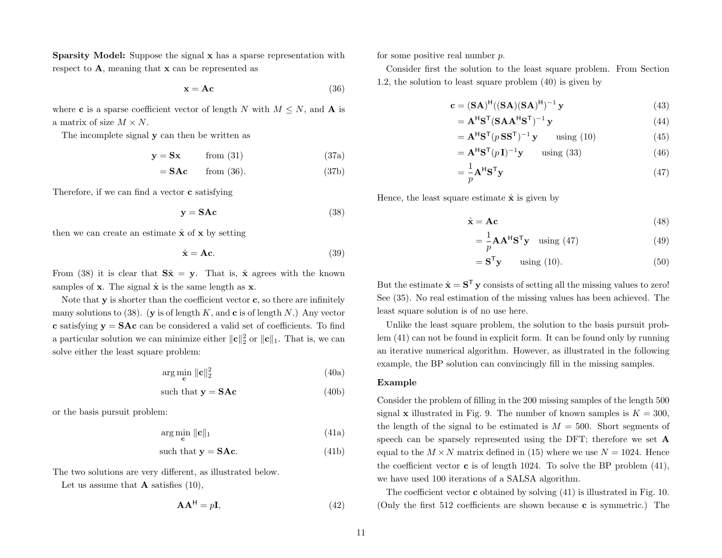Sparsity Model: Suppose the signal x has a sparse representation with respect to A, meaning that x can be represented as

<span id="page-10-0"></span>
$$
x = Ac \tag{36}
$$

where **c** is a sparse coefficient vector of length N with  $M \leq N$ , and **A** is a matrix of size  $M \times N$ .

The incomplete signal y can then be written as

$$
y = Sx \qquad \text{from (31)} \tag{37a}
$$

$$
= \mathbf{SAc} \qquad \text{from (36).} \tag{37b}
$$

Therefore, if we can find a vector c satisfying

<span id="page-10-1"></span>
$$
y = SAc
$$
 (38)

then we can create an estimate  $\hat{\mathbf{x}}$  of  $\mathbf{x}$  by setting

$$
\hat{\mathbf{x}} = \mathbf{A}\mathbf{c}.\tag{39}
$$

From [\(38\)](#page-10-1) it is clear that  $S\hat{x} = y$ . That is,  $\hat{x}$  agrees with the known samples of  $x$ . The signal  $\hat{x}$  is the same length as  $x$ .

Note that  $y$  is shorter than the coefficient vector  $c$ , so there are infinitely many solutions to [\(38\)](#page-10-1). (y is of length K, and c is of length N.) Any vector c satisfying  $y = SAc$  can be considered a valid set of coefficients. To find a particular solution we can minimize either  $\|\mathbf{c}\|_2^2$  or  $\|\mathbf{c}\|_1$ . That is, we can solve either the least square problem:

<span id="page-10-2"></span>
$$
\arg\min_{\mathbf{c}} \|\mathbf{c}\|_2^2 \tag{40a}
$$

<span id="page-10-4"></span>
$$
such that  $\mathbf{y} = \mathbf{SAc}$  (40b)
$$

or the basis pursuit problem:

$$
\arg\min_{\mathbf{c}} \|\mathbf{c}\|_1 \tag{41a}
$$

such that 
$$
y = SAc.
$$
 (41b)

The two solutions are very different, as illustrated below.

Let us assume that  $\bf{A}$  satisfies [\(10\)](#page-2-0),

$$
\mathbf{A}\mathbf{A}^{\mathsf{H}} = p\mathbf{I},\tag{42}
$$

for some positive real number p.

Consider first the solution to the least square problem. From Section [1.2,](#page-0-7) the solution to least square problem [\(40\)](#page-10-2) is given by

$$
\mathbf{c} = (\mathbf{SA})^{\mathsf{H}}((\mathbf{SA})(\mathbf{SA})^{\mathsf{H}})^{-1}\mathbf{y}
$$
(43)

$$
= \mathbf{A}^{\mathsf{H}} \mathbf{S}^{\mathsf{T}} (\mathbf{S} \mathbf{A} \mathbf{A}^{\mathsf{H}} \mathbf{S}^{\mathsf{T}})^{-1} \mathbf{y}
$$
(44)

$$
= \mathbf{A}^{\mathsf{H}} \mathbf{S}^{\mathsf{T}} (p \, \mathbf{S} \mathbf{S}^{\mathsf{T}})^{-1} \mathbf{y} \qquad \text{using (10)} \tag{45}
$$

$$
= \mathbf{A}^{\mathsf{H}} \mathbf{S}^{\mathsf{T}} (p\mathbf{I})^{-1} \mathbf{y} \qquad \text{using (33)} \tag{46}
$$

$$
=\frac{1}{p}\mathbf{A}^{\mathsf{H}}\mathbf{S}^{\mathsf{T}}\mathbf{y}\tag{47}
$$

Hence, the least square estimate  $\hat{\mathbf{x}}$  is given by

<span id="page-10-3"></span>
$$
\hat{\mathbf{x}} = \mathbf{A}\mathbf{c} \tag{48}
$$

$$
=\frac{1}{p}\mathbf{A}\mathbf{A}^{\mathsf{H}}\mathbf{S}^{\mathsf{T}}\mathbf{y} \quad \text{using (47)}\tag{49}
$$

$$
= \mathbf{S}^{\mathsf{T}} \mathbf{y} \qquad \text{using (10).} \tag{50}
$$

But the estimate  $\hat{\mathbf{x}} = \mathbf{S}^{\mathsf{T}} \mathbf{y}$  consists of setting all the missing values to zero! See [\(35\)](#page-9-4). No real estimation of the missing values has been achieved. The least square solution is of no use here.

Unlike the least square problem, the solution to the basis pursuit problem [\(41\)](#page-10-4) can not be found in explicit form. It can be found only by running an iterative numerical algorithm. However, as illustrated in the following example, the BP solution can convincingly fill in the missing samples.

#### Example

Consider the problem of filling in the 200 missing samples of the length 500 signal **x** illustrated in Fig. [9.](#page-9-0) The number of known samples is  $K = 300$ , the length of the signal to be estimated is  $M = 500$ . Short segments of speech can be sparsely represented using the DFT; therefore we set A equal to the  $M \times N$  matrix defined in [\(15\)](#page-3-1) where we use  $N = 1024$ . Hence the coefficient vector  $\bf{c}$  is of length 1024. To solve the BP problem [\(41\)](#page-10-4), we have used 100 iterations of a SALSA algorithm.

The coefficient vector c obtained by solving [\(41\)](#page-10-4) is illustrated in Fig. [10.](#page-11-0) (Only the first 512 coefficients are shown because c is symmetric.) The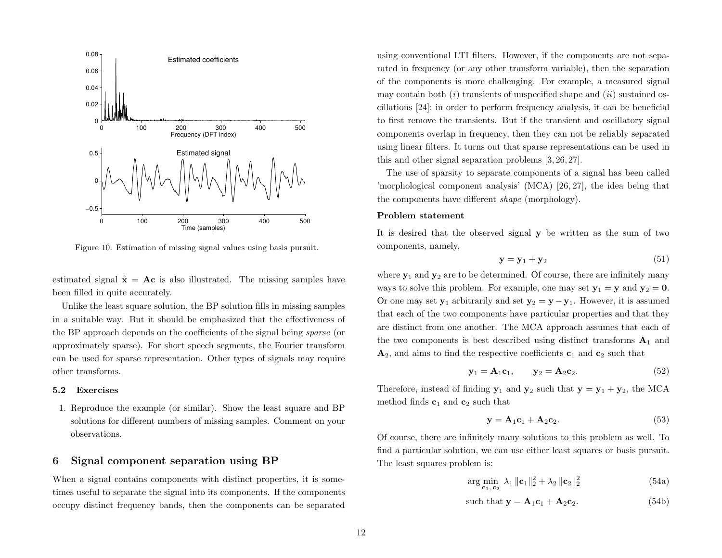<span id="page-11-0"></span>

Figure 10: Estimation of missing signal values using basis pursuit.

estimated signal  $\hat{\mathbf{x}} = \mathbf{A}\mathbf{c}$  is also illustrated. The missing samples have been filled in quite accurately.

Unlike the least square solution, the BP solution fills in missing samples in a suitable way. But it should be emphasized that the effectiveness of the BP approach depends on the coefficients of the signal being sparse (or approximately sparse). For short speech segments, the Fourier transform can be used for sparse representation. Other types of signals may require other transforms.

#### 5.2 Exercises

1. Reproduce the example (or similar). Show the least square and BP solutions for different numbers of missing samples. Comment on your observations.

# <span id="page-11-3"></span>6 Signal component separation using BP

When a signal contains components with distinct properties, it is sometimes useful to separate the signal into its components. If the components occupy distinct frequency bands, then the components can be separated

using conventional LTI filters. However, if the components are not separated in frequency (or any other transform variable), then the separation of the components is more challenging. For example, a measured signal may contain both  $(i)$  transients of unspecified shape and  $(ii)$  sustained oscillations [\[24\]](#page-17-12); in order to perform frequency analysis, it can be beneficial to first remove the transients. But if the transient and oscillatory signal components overlap in frequency, then they can not be reliably separated using linear filters. It turns out that sparse representations can be used in this and other signal separation problems [\[3,](#page-16-9) [26,](#page-17-13) [27\]](#page-17-14).

The use of sparsity to separate components of a signal has been called 'morphological component analysis' (MCA) [\[26,](#page-17-13) [27\]](#page-17-14), the idea being that the components have different shape (morphology).

#### Problem statement

It is desired that the observed signal y be written as the sum of two components, namely,

$$
\mathbf{y} = \mathbf{y}_1 + \mathbf{y}_2 \tag{51}
$$

where  $y_1$  and  $y_2$  are to be determined. Of course, there are infinitely many ways to solve this problem. For example, one may set  $y_1 = y$  and  $y_2 = 0$ . Or one may set  $y_1$  arbitrarily and set  $y_2 = y - y_1$ . However, it is assumed that each of the two components have particular properties and that they are distinct from one another. The MCA approach assumes that each of the two components is best described using distinct transforms  $A_1$  and  $\mathbf{A}_2$ , and aims to find the respective coefficients  $\mathbf{c}_1$  and  $\mathbf{c}_2$  such that

$$
\mathbf{y}_1 = \mathbf{A}_1 \mathbf{c}_1, \qquad \mathbf{y}_2 = \mathbf{A}_2 \mathbf{c}_2. \tag{52}
$$

Therefore, instead of finding  $y_1$  and  $y_2$  such that  $y = y_1 + y_2$ , the MCA method finds  $c_1$  and  $c_2$  such that

<span id="page-11-2"></span>
$$
\mathbf{y} = \mathbf{A}_1 \mathbf{c}_1 + \mathbf{A}_2 \mathbf{c}_2. \tag{53}
$$

Of course, there are infinitely many solutions to this problem as well. To find a particular solution, we can use either least squares or basis pursuit. The least squares problem is:

<span id="page-11-1"></span>
$$
\arg\min_{\mathbf{c}_1, \mathbf{c}_2} \lambda_1 \| \mathbf{c}_1 \|_2^2 + \lambda_2 \| \mathbf{c}_2 \|_2^2
$$
\n(54a)

such that 
$$
\mathbf{y} = \mathbf{A}_1 \mathbf{c}_1 + \mathbf{A}_2 \mathbf{c}_2.
$$
 (54b)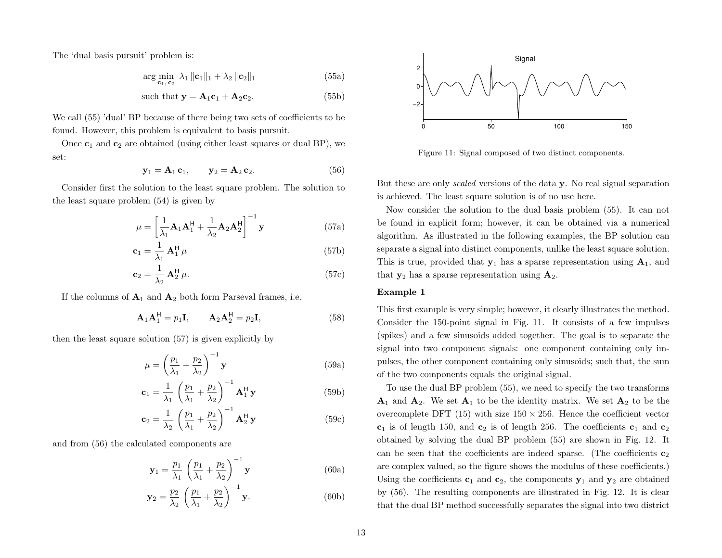The 'dual basis pursuit' problem is:

<span id="page-12-0"></span>
$$
\arg\min_{\mathbf{c}_1,\,\mathbf{c}_2} \lambda_1 \|\mathbf{c}_1\|_1 + \lambda_2 \|\mathbf{c}_2\|_1 \tag{55a}
$$

such that 
$$
\mathbf{y} = \mathbf{A}_1 \mathbf{c}_1 + \mathbf{A}_2 \mathbf{c}_2.
$$
 (55b)

We call [\(55\)](#page-12-0) 'dual' BP because of there being two sets of coefficients to be found. However, this problem is equivalent to basis pursuit.

<span id="page-12-2"></span>Once  $c_1$  and  $c_2$  are obtained (using either least squares or dual BP), we set:

<span id="page-12-1"></span>
$$
\mathbf{y}_1 = \mathbf{A}_1 \mathbf{c}_1, \qquad \mathbf{y}_2 = \mathbf{A}_2 \mathbf{c}_2. \tag{56}
$$

Consider first the solution to the least square problem. The solution to the least square problem [\(54\)](#page-11-1) is given by

$$
\mu = \left[\frac{1}{\lambda_1} \mathbf{A}_1 \mathbf{A}_1^{\mathsf{H}} + \frac{1}{\lambda_2} \mathbf{A}_2 \mathbf{A}_2^{\mathsf{H}}\right]^{-1} \mathbf{y}
$$
(57a)

$$
\mathbf{c}_1 = \frac{1}{\lambda_1} \mathbf{A}_1^{\mathsf{H}} \mu \tag{57b}
$$

$$
\mathbf{c}_2 = \frac{1}{\lambda_2} \mathbf{A}_2^{\mathsf{H}} \mu. \tag{57c}
$$

If the columns of  $A_1$  and  $A_2$  both form Parseval frames, i.e.

$$
\mathbf{A}_1 \mathbf{A}_1^{\mathsf{H}} = p_1 \mathbf{I}, \qquad \mathbf{A}_2 \mathbf{A}_2^{\mathsf{H}} = p_2 \mathbf{I}, \tag{58}
$$

then the least square solution [\(57\)](#page-12-1) is given explicitly by

$$
\mu = \left(\frac{p_1}{\lambda_1} + \frac{p_2}{\lambda_2}\right)^{-1} \mathbf{y}
$$
\n(59a)

$$
\mathbf{c}_1 = \frac{1}{\lambda_1} \left( \frac{p_1}{\lambda_1} + \frac{p_2}{\lambda_2} \right)^{-1} \mathbf{A}_1^{\mathsf{H}} \mathbf{y}
$$
 (59b)

$$
\mathbf{c}_2 = \frac{1}{\lambda_2} \left( \frac{p_1}{\lambda_1} + \frac{p_2}{\lambda_2} \right)^{-1} \mathbf{A}_2^{\mathsf{H}} \mathbf{y}
$$
(59c)

and from [\(56\)](#page-12-2) the calculated components are

$$
\mathbf{y}_1 = \frac{p_1}{\lambda_1} \left( \frac{p_1}{\lambda_1} + \frac{p_2}{\lambda_2} \right)^{-1} \mathbf{y}
$$
 (60a)

$$
\mathbf{y}_2 = \frac{p_2}{\lambda_2} \left( \frac{p_1}{\lambda_1} + \frac{p_2}{\lambda_2} \right)^{-1} \mathbf{y}.
$$
 (60b)

<span id="page-12-3"></span>

Figure 11: Signal composed of two distinct components.

But these are only scaled versions of the data y. No real signal separation is achieved. The least square solution is of no use here.

Now consider the solution to the dual basis problem [\(55\)](#page-12-0). It can not be found in explicit form; however, it can be obtained via a numerical algorithm. As illustrated in the following examples, the BP solution can separate a signal into distinct components, unlike the least square solution. This is true, provided that  $y_1$  has a sparse representation using  $A_1$ , and that  $y_2$  has a sparse representation using  $A_2$ .

## Example 1

This first example is very simple; however, it clearly illustrates the method. Consider the 150-point signal in Fig. [11.](#page-12-3) It consists of a few impulses (spikes) and a few sinusoids added together. The goal is to separate the signal into two component signals: one component containing only impulses, the other component containing only sinusoids; such that, the sum of the two components equals the original signal.

To use the dual BP problem [\(55\)](#page-12-0), we need to specify the two transforms  $A_1$  and  $A_2$ . We set  $A_1$  to be the identity matrix. We set  $A_2$  to be the overcomplete DFT [\(15\)](#page-3-1) with size  $150 \times 256$ . Hence the coefficient vector  $c_1$  is of length 150, and  $c_2$  is of length 256. The coefficients  $c_1$  and  $c_2$ obtained by solving the dual BP problem [\(55\)](#page-12-0) are shown in Fig. [12.](#page-13-0) It can be seen that the coefficients are indeed sparse. (The coefficients  $c_2$ ) are complex valued, so the figure shows the modulus of these coefficients.) Using the coefficients  $c_1$  and  $c_2$ , the components  $y_1$  and  $y_2$  are obtained by [\(56\)](#page-12-2). The resulting components are illustrated in Fig. [12.](#page-13-0) It is clear that the dual BP method successfully separates the signal into two district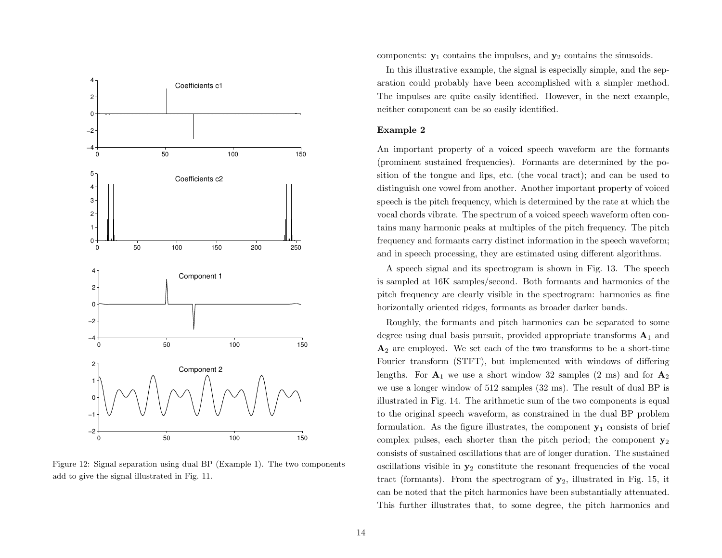<span id="page-13-0"></span>

Figure 12: Signal separation using dual BP (Example 1). The two components add to give the signal illustrated in Fig. [11.](#page-12-3)

components:  $y_1$  contains the impulses, and  $y_2$  contains the sinusoids.

In this illustrative example, the signal is especially simple, and the separation could probably have been accomplished with a simpler method. The impulses are quite easily identified. However, in the next example, neither component can be so easily identified.

#### Example 2

An important property of a voiced speech waveform are the formants (prominent sustained frequencies). Formants are determined by the position of the tongue and lips, etc. (the vocal tract); and can be used to distinguish one vowel from another. Another important property of voiced speech is the pitch frequency, which is determined by the rate at which the vocal chords vibrate. The spectrum of a voiced speech waveform often contains many harmonic peaks at multiples of the pitch frequency. The pitch frequency and formants carry distinct information in the speech waveform; and in speech processing, they are estimated using different algorithms.

A speech signal and its spectrogram is shown in Fig. [13.](#page-14-0) The speech is sampled at 16K samples/second. Both formants and harmonics of the pitch frequency are clearly visible in the spectrogram: harmonics as fine horizontally oriented ridges, formants as broader darker bands.

Roughly, the formants and pitch harmonics can be separated to some degree using dual basis pursuit, provided appropriate transforms  $A_1$  and  $\mathbf{A}_2$  are employed. We set each of the two transforms to be a short-time Fourier transform (STFT), but implemented with windows of differing lengths. For  $A_1$  we use a short window 32 samples (2 ms) and for  $A_2$ we use a longer window of 512 samples (32 ms). The result of dual BP is illustrated in Fig. [14.](#page-14-1) The arithmetic sum of the two components is equal to the original speech waveform, as constrained in the dual BP problem formulation. As the figure illustrates, the component  $y_1$  consists of brief complex pulses, each shorter than the pitch period; the component  $y_2$ consists of sustained oscillations that are of longer duration. The sustained oscillations visible in  $y_2$  constitute the resonant frequencies of the vocal tract (formants). From the spectrogram of  $y_2$ , illustrated in Fig. [15,](#page-15-0) it can be noted that the pitch harmonics have been substantially attenuated. This further illustrates that, to some degree, the pitch harmonics and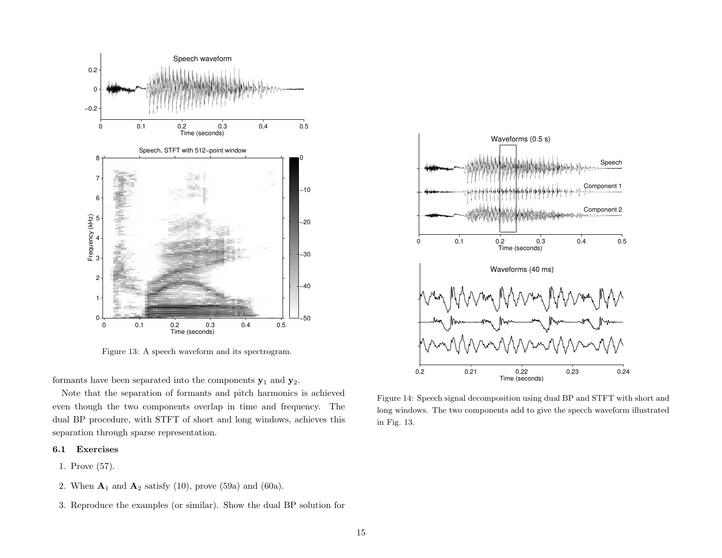<span id="page-14-0"></span>

Figure 13: A speech waveform and its spectrogram.

formants have been separated into the components  $y_1$  and  $y_2$ .

Note that the separation of formants and pitch harmonics is achieved even though the two components overlap in time and frequency. The dual BP procedure, with STFT of short and long windows, achieves this separation through sparse representation.

# 6.1 Exercises

- 1. Prove [\(57\)](#page-12-1).
- 2. When  $\mathbf{A}_1$  and  $\mathbf{A}_2$  satisfy [\(10\)](#page-2-0), prove [\(59a\)](#page-11-2) and [\(60a\)](#page-11-2).
- 3. Reproduce the examples (or similar). Show the dual BP solution for

<span id="page-14-1"></span>

Figure 14: Speech signal decomposition using dual BP and STFT with short and long windows. The two components add to give the specch waveform illustrated in Fig. [13.](#page-14-0)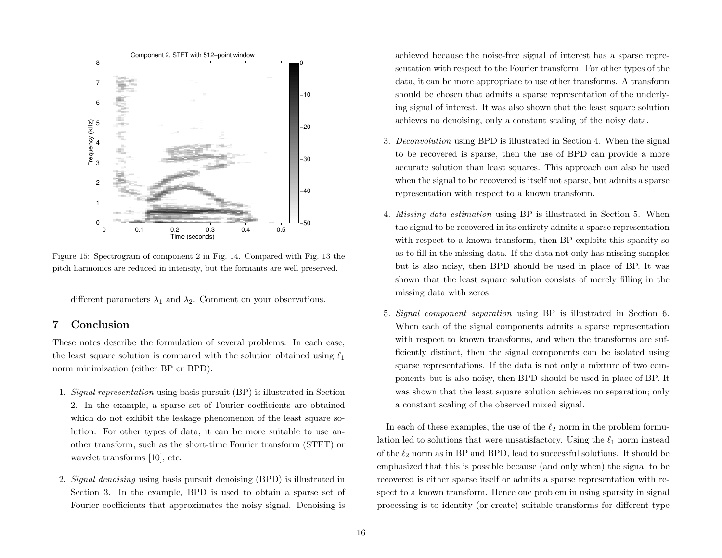<span id="page-15-0"></span>

Figure 15: Spectrogram of component 2 in Fig. [14.](#page-14-1) Compared with Fig. [13](#page-14-0) the pitch harmonics are reduced in intensity, but the formants are well preserved.

different parameters  $\lambda_1$  and  $\lambda_2$ . Comment on your observations.

# 7 Conclusion

These notes describe the formulation of several problems. In each case, the least square solution is compared with the solution obtained using  $\ell_1$ norm minimization (either BP or BPD).

- 1. Signal representation using basis pursuit (BP) is illustrated in Section [2.](#page-2-3) In the example, a sparse set of Fourier coefficients are obtained which do not exhibit the leakage phenomenon of the least square solution. For other types of data, it can be more suitable to use another transform, such as the short-time Fourier transform (STFT) or wavelet transforms [\[10\]](#page-16-10), etc.
- 2. Signal denoising using basis pursuit denoising (BPD) is illustrated in Section [3.](#page-5-2) In the example, BPD is used to obtain a sparse set of Fourier coefficients that approximates the noisy signal. Denoising is

achieved because the noise-free signal of interest has a sparse representation with respect to the Fourier transform. For other types of the data, it can be more appropriate to use other transforms. A transform should be chosen that admits a sparse representation of the underlying signal of interest. It was also shown that the least square solution achieves no denoising, only a constant scaling of the noisy data.

- 3. Deconvolution using BPD is illustrated in Section [4.](#page-7-5) When the signal to be recovered is sparse, then the use of BPD can provide a more accurate solution than least squares. This approach can also be used when the signal to be recovered is itself not sparse, but admits a sparse representation with respect to a known transform.
- 4. Missing data estimation using BP is illustrated in Section [5.](#page-8-2) When the signal to be recovered in its entirety admits a sparse representation with respect to a known transform, then BP exploits this sparsity so as to fill in the missing data. If the data not only has missing samples but is also noisy, then BPD should be used in place of BP. It was shown that the least square solution consists of merely filling in the missing data with zeros.
- 5. Signal component separation using BP is illustrated in Section [6.](#page-11-3) When each of the signal components admits a sparse representation with respect to known transforms, and when the transforms are sufficiently distinct, then the signal components can be isolated using sparse representations. If the data is not only a mixture of two components but is also noisy, then BPD should be used in place of BP. It was shown that the least square solution achieves no separation; only a constant scaling of the observed mixed signal.

In each of these examples, the use of the  $\ell_2$  norm in the problem formulation led to solutions that were unsatisfactory. Using the  $\ell_1$  norm instead of the  $\ell_2$  norm as in BP and BPD, lead to successful solutions. It should be emphasized that this is possible because (and only when) the signal to be recovered is either sparse itself or admits a sparse representation with respect to a known transform. Hence one problem in using sparsity in signal processing is to identity (or create) suitable transforms for different type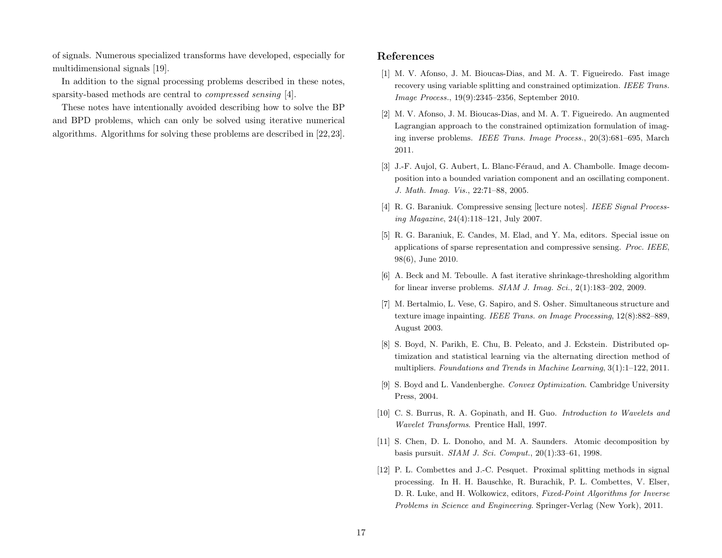of signals. Numerous specialized transforms have developed, especially for multidimensional signals [\[19\]](#page-17-15).

In addition to the signal processing problems described in these notes, sparsity-based methods are central to compressed sensing [\[4\]](#page-16-11).

These notes have intentionally avoided describing how to solve the BP and BPD problems, which can only be solved using iterative numerical algorithms. Algorithms for solving these problems are described in [\[22,](#page-17-16)[23\]](#page-17-17).

## References

- <span id="page-16-6"></span>[1] M. V. Afonso, J. M. Bioucas-Dias, and M. A. T. Figueiredo. Fast image recovery using variable splitting and constrained optimization. IEEE Trans. Image Process., 19(9):2345–2356, September 2010.
- <span id="page-16-7"></span>[2] M. V. Afonso, J. M. Bioucas-Dias, and M. A. T. Figueiredo. An augmented Lagrangian approach to the constrained optimization formulation of imaging inverse problems. IEEE Trans. Image Process., 20(3):681–695, March 2011.
- <span id="page-16-9"></span>[3] J.-F. Aujol, G. Aubert, L. Blanc-Féraud, and A. Chambolle. Image decomposition into a bounded variation component and an oscillating component. J. Math. Imag. Vis., 22:71–88, 2005.
- <span id="page-16-11"></span>[4] R. G. Baraniuk. Compressive sensing [lecture notes]. IEEE Signal Processing Magazine, 24(4):118–121, July 2007.
- <span id="page-16-0"></span>[5] R. G. Baraniuk, E. Candes, M. Elad, and Y. Ma, editors. Special issue on applications of sparse representation and compressive sensing. Proc. IEEE, 98(6), June 2010.
- <span id="page-16-5"></span>[6] A. Beck and M. Teboulle. A fast iterative shrinkage-thresholding algorithm for linear inverse problems.  $SIAM$  J. Imag. Sci.,  $2(1):183-202$ ,  $2009$ .
- <span id="page-16-8"></span>[7] M. Bertalmio, L. Vese, G. Sapiro, and S. Osher. Simultaneous structure and texture image inpainting. IEEE Trans. on Image Processing, 12(8):882–889, August 2003.
- <span id="page-16-3"></span>[8] S. Boyd, N. Parikh, E. Chu, B. Peleato, and J. Eckstein. Distributed optimization and statistical learning via the alternating direction method of multipliers. Foundations and Trends in Machine Learning, 3(1):1–122, 2011.
- <span id="page-16-2"></span>[9] S. Boyd and L. Vandenberghe. Convex Optimization. Cambridge University Press, 2004.
- <span id="page-16-10"></span>[10] C. S. Burrus, R. A. Gopinath, and H. Guo. Introduction to Wavelets and Wavelet Transforms. Prentice Hall, 1997.
- <span id="page-16-1"></span>[11] S. Chen, D. L. Donoho, and M. A. Saunders. Atomic decomposition by basis pursuit. SIAM J. Sci. Comput., 20(1):33–61, 1998.
- <span id="page-16-4"></span>[12] P. L. Combettes and J.-C. Pesquet. Proximal splitting methods in signal processing. In H. H. Bauschke, R. Burachik, P. L. Combettes, V. Elser, D. R. Luke, and H. Wolkowicz, editors, Fixed-Point Algorithms for Inverse Problems in Science and Engineering. Springer-Verlag (New York), 2011.